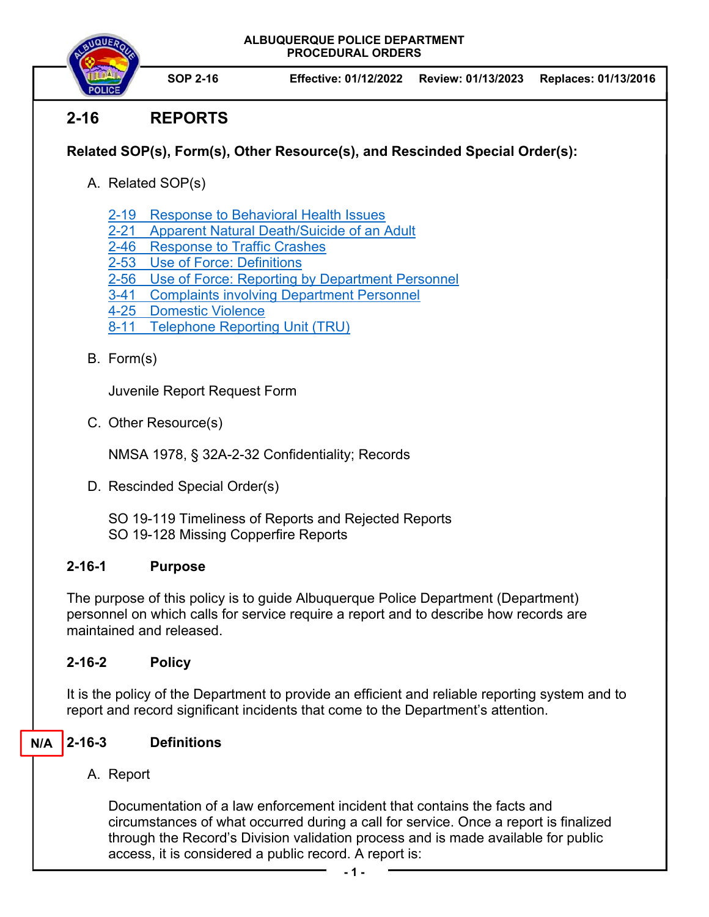**ALBUQUERQUE POLICE DEPARTMENT PROCEDURAL ORDERS** 

**SOP 2-16 Effective: 01/12/2022 Review: 01/13/2023 Replaces: 01/13/2016** 

# **2-16 REPORTS**

## **Related SOP(s), Form(s), Other Resource(s), and Rescinded Special Order(s):**

- A. Related SOP(s)
	- 2-19 Response to Behavioral Health Issues
	- 2-21 Apparent Natural Death/Suicide of an Adult
	- 2-46 Response to Traffic Crashes
	- 2-53 Use of Force: Definitions
	- 2-56 Use of Force: Reporting by Department Personnel
	- 3-41 Complaints involving Department Personnel
	- 4-25 Domestic Violence
	- 8-11 Telephone Reporting Unit (TRU)
- B. Form(s)

Juvenile Report Request Form

C. Other Resource(s)

NMSA 1978, § 32A-2-32 Confidentiality; Records

D. Rescinded Special Order(s)

SO 19-119 Timeliness of Reports and Rejected Reports SO 19-128 Missing Copperfire Reports

### **2-16-1 Purpose**

The purpose of this policy is to guide Albuquerque Police Department (Department) personnel on which calls for service require a report and to describe how records are maintained and released.

### **2-16-2 Policy**

It is the policy of the Department to provide an efficient and reliable reporting system and to report and record significant incidents that come to the Department's attention.

#### **2-16-3 Definitions N/A**

### A. Report

Documentation of a law enforcement incident that contains the facts and circumstances of what occurred during a call for service. Once a report is finalized through the Record's Division validation process and is made available for public access, it is considered a public record. A report is: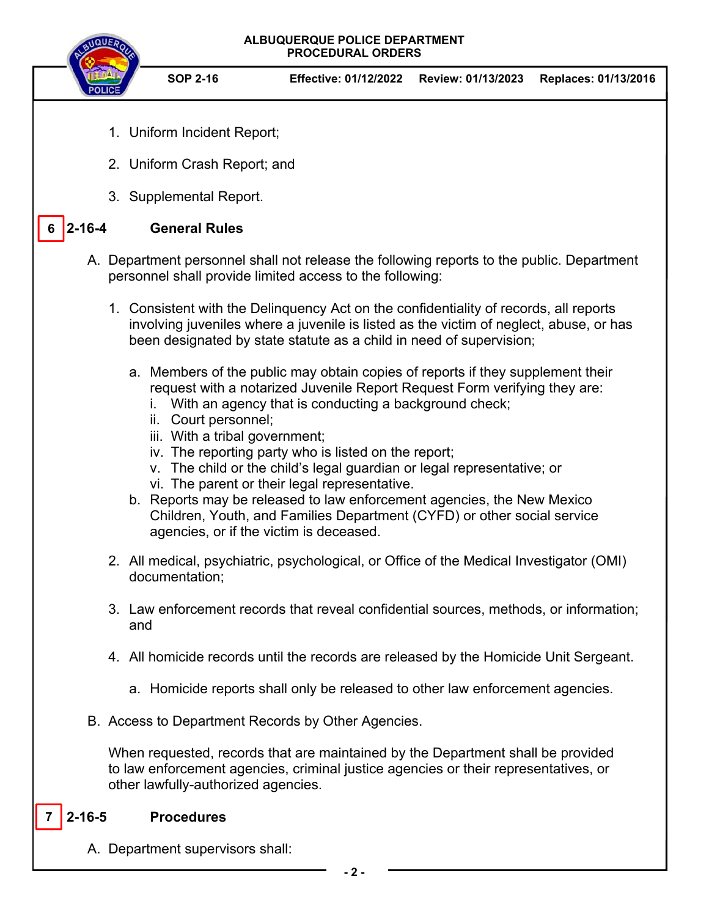

A. Department supervisors shall: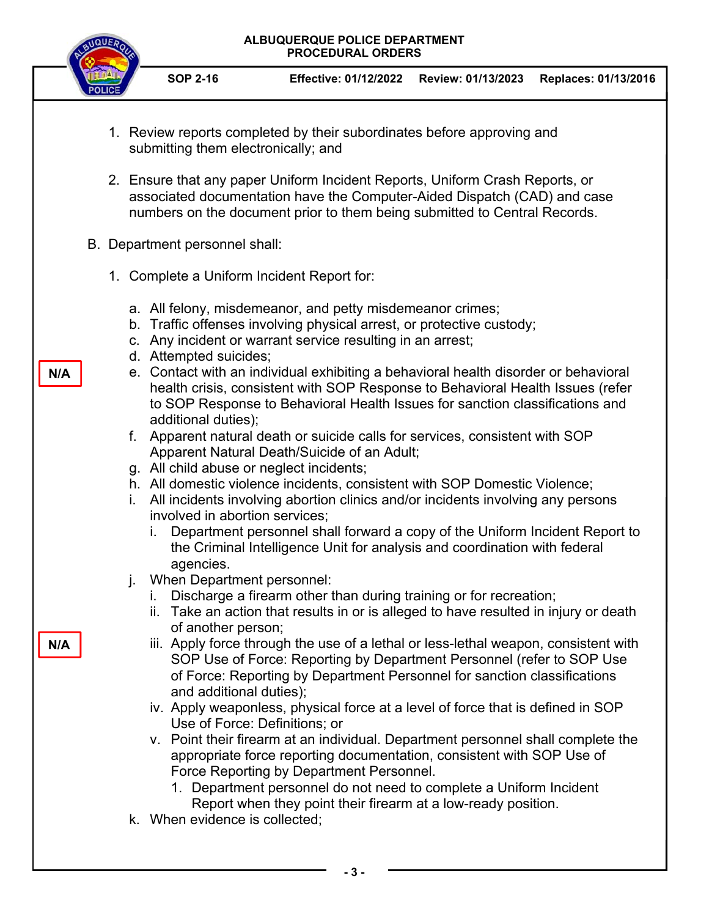| <b>ISUEF</b> | ALBUQUERQUE POLICE DEPARTMENT<br><b>PROCEDURAL ORDERS</b>                                                                                                                                                                                                                                                                                                                                                                     |                                                                                                                                                                                                                                                                                                                                                                                                                                                                                                                                                                                                                                                                                                                                                                                                                                                                                                                                                                                                                                                                                                                                                                                                                                                                                                                                                                                                                                                                                                                                                                                                                                                                                                                                                                                                                                                                                                                                                                                                                                                                                         |                    |                      |
|--------------|-------------------------------------------------------------------------------------------------------------------------------------------------------------------------------------------------------------------------------------------------------------------------------------------------------------------------------------------------------------------------------------------------------------------------------|-----------------------------------------------------------------------------------------------------------------------------------------------------------------------------------------------------------------------------------------------------------------------------------------------------------------------------------------------------------------------------------------------------------------------------------------------------------------------------------------------------------------------------------------------------------------------------------------------------------------------------------------------------------------------------------------------------------------------------------------------------------------------------------------------------------------------------------------------------------------------------------------------------------------------------------------------------------------------------------------------------------------------------------------------------------------------------------------------------------------------------------------------------------------------------------------------------------------------------------------------------------------------------------------------------------------------------------------------------------------------------------------------------------------------------------------------------------------------------------------------------------------------------------------------------------------------------------------------------------------------------------------------------------------------------------------------------------------------------------------------------------------------------------------------------------------------------------------------------------------------------------------------------------------------------------------------------------------------------------------------------------------------------------------------------------------------------------------|--------------------|----------------------|
|              | <b>SOP 2-16</b>                                                                                                                                                                                                                                                                                                                                                                                                               | <b>Effective: 01/12/2022</b>                                                                                                                                                                                                                                                                                                                                                                                                                                                                                                                                                                                                                                                                                                                                                                                                                                                                                                                                                                                                                                                                                                                                                                                                                                                                                                                                                                                                                                                                                                                                                                                                                                                                                                                                                                                                                                                                                                                                                                                                                                                            | Review: 01/13/2023 | Replaces: 01/13/2016 |
| N/A<br>N/A   | submitting them electronically; and<br>B. Department personnel shall:<br>1. Complete a Uniform Incident Report for:<br>d. Attempted suicides;<br>additional duties);<br>g. All child abuse or neglect incidents;<br>İ.<br>involved in abortion services;<br>agencies.<br>When Department personnel:<br>j.<br>of another person;<br>and additional duties);<br>Use of Force: Definitions; or<br>k. When evidence is collected; | 1. Review reports completed by their subordinates before approving and<br>2. Ensure that any paper Uniform Incident Reports, Uniform Crash Reports, or<br>associated documentation have the Computer-Aided Dispatch (CAD) and case<br>numbers on the document prior to them being submitted to Central Records.<br>a. All felony, misdemeanor, and petty misdemeanor crimes;<br>b. Traffic offenses involving physical arrest, or protective custody;<br>c. Any incident or warrant service resulting in an arrest;<br>e. Contact with an individual exhibiting a behavioral health disorder or behavioral<br>health crisis, consistent with SOP Response to Behavioral Health Issues (refer<br>to SOP Response to Behavioral Health Issues for sanction classifications and<br>f. Apparent natural death or suicide calls for services, consistent with SOP<br>Apparent Natural Death/Suicide of an Adult;<br>h. All domestic violence incidents, consistent with SOP Domestic Violence;<br>All incidents involving abortion clinics and/or incidents involving any persons<br>Department personnel shall forward a copy of the Uniform Incident Report to<br>the Criminal Intelligence Unit for analysis and coordination with federal<br>i. Discharge a firearm other than during training or for recreation;<br>ii. Take an action that results in or is alleged to have resulted in injury or death<br>iii. Apply force through the use of a lethal or less-lethal weapon, consistent with<br>SOP Use of Force: Reporting by Department Personnel (refer to SOP Use<br>of Force: Reporting by Department Personnel for sanction classifications<br>iv. Apply weaponless, physical force at a level of force that is defined in SOP<br>v. Point their firearm at an individual. Department personnel shall complete the<br>appropriate force reporting documentation, consistent with SOP Use of<br>Force Reporting by Department Personnel.<br>1. Department personnel do not need to complete a Uniform Incident<br>Report when they point their firearm at a low-ready position. |                    |                      |
|              |                                                                                                                                                                                                                                                                                                                                                                                                                               |                                                                                                                                                                                                                                                                                                                                                                                                                                                                                                                                                                                                                                                                                                                                                                                                                                                                                                                                                                                                                                                                                                                                                                                                                                                                                                                                                                                                                                                                                                                                                                                                                                                                                                                                                                                                                                                                                                                                                                                                                                                                                         |                    |                      |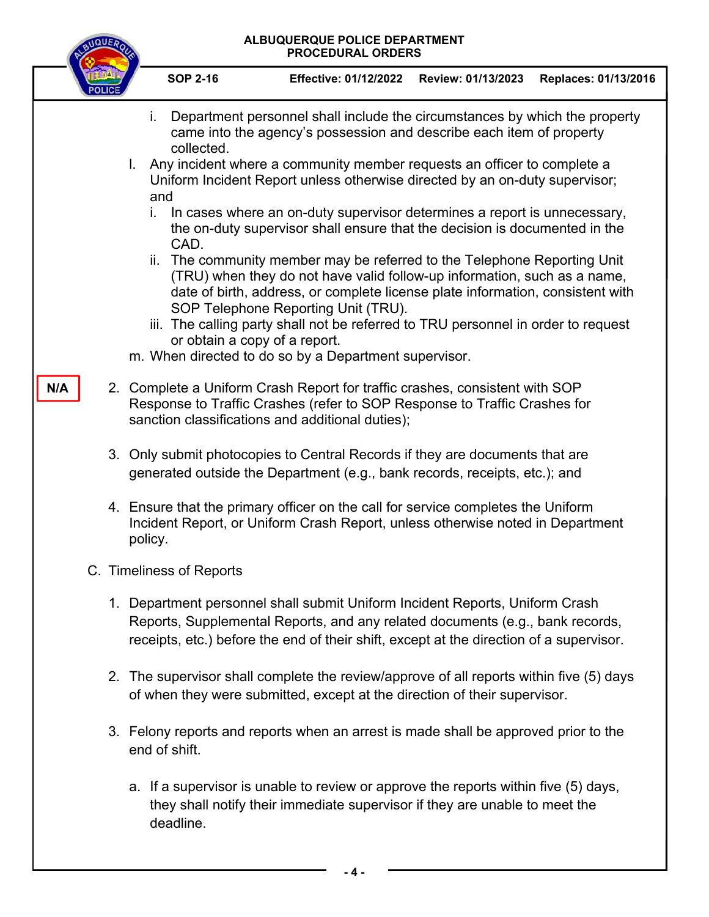| ALBUQUERQUE POLICE DEPARTMENT<br><b>PROCEDURAL ORDERS</b> |                                                                                                                                                                                                                                                                                                                                                                                                                                                                                                                                                                                                                                                                                                                                                                                                                                                                                                                                                                                                                                                                                                                                                                                                       |  |  |  |
|-----------------------------------------------------------|-------------------------------------------------------------------------------------------------------------------------------------------------------------------------------------------------------------------------------------------------------------------------------------------------------------------------------------------------------------------------------------------------------------------------------------------------------------------------------------------------------------------------------------------------------------------------------------------------------------------------------------------------------------------------------------------------------------------------------------------------------------------------------------------------------------------------------------------------------------------------------------------------------------------------------------------------------------------------------------------------------------------------------------------------------------------------------------------------------------------------------------------------------------------------------------------------------|--|--|--|
|                                                           | <b>SOP 2-16</b><br><b>Effective: 01/12/2022</b><br>Review: 01/13/2023<br>Replaces: 01/13/2016                                                                                                                                                                                                                                                                                                                                                                                                                                                                                                                                                                                                                                                                                                                                                                                                                                                                                                                                                                                                                                                                                                         |  |  |  |
| N/A                                                       | Department personnel shall include the circumstances by which the property<br>i.<br>came into the agency's possession and describe each item of property<br>collected.<br>Any incident where a community member requests an officer to complete a<br>L.<br>Uniform Incident Report unless otherwise directed by an on-duty supervisor;<br>and<br>In cases where an on-duty supervisor determines a report is unnecessary,<br>İ.<br>the on-duty supervisor shall ensure that the decision is documented in the<br>CAD.<br>ii. The community member may be referred to the Telephone Reporting Unit<br>(TRU) when they do not have valid follow-up information, such as a name,<br>date of birth, address, or complete license plate information, consistent with<br>SOP Telephone Reporting Unit (TRU).<br>iii. The calling party shall not be referred to TRU personnel in order to request<br>or obtain a copy of a report.<br>m. When directed to do so by a Department supervisor.<br>2. Complete a Uniform Crash Report for traffic crashes, consistent with SOP<br>Response to Traffic Crashes (refer to SOP Response to Traffic Crashes for<br>sanction classifications and additional duties); |  |  |  |
|                                                           | 3. Only submit photocopies to Central Records if they are documents that are<br>generated outside the Department (e.g., bank records, receipts, etc.); and<br>4. Ensure that the primary officer on the call for service completes the Uniform                                                                                                                                                                                                                                                                                                                                                                                                                                                                                                                                                                                                                                                                                                                                                                                                                                                                                                                                                        |  |  |  |
|                                                           | Incident Report, or Uniform Crash Report, unless otherwise noted in Department<br>policy.                                                                                                                                                                                                                                                                                                                                                                                                                                                                                                                                                                                                                                                                                                                                                                                                                                                                                                                                                                                                                                                                                                             |  |  |  |
|                                                           | C. Timeliness of Reports                                                                                                                                                                                                                                                                                                                                                                                                                                                                                                                                                                                                                                                                                                                                                                                                                                                                                                                                                                                                                                                                                                                                                                              |  |  |  |
|                                                           | 1. Department personnel shall submit Uniform Incident Reports, Uniform Crash<br>Reports, Supplemental Reports, and any related documents (e.g., bank records,<br>receipts, etc.) before the end of their shift, except at the direction of a supervisor.                                                                                                                                                                                                                                                                                                                                                                                                                                                                                                                                                                                                                                                                                                                                                                                                                                                                                                                                              |  |  |  |
|                                                           | 2. The supervisor shall complete the review/approve of all reports within five (5) days<br>of when they were submitted, except at the direction of their supervisor.                                                                                                                                                                                                                                                                                                                                                                                                                                                                                                                                                                                                                                                                                                                                                                                                                                                                                                                                                                                                                                  |  |  |  |
|                                                           | 3. Felony reports and reports when an arrest is made shall be approved prior to the<br>end of shift.                                                                                                                                                                                                                                                                                                                                                                                                                                                                                                                                                                                                                                                                                                                                                                                                                                                                                                                                                                                                                                                                                                  |  |  |  |
|                                                           | a. If a supervisor is unable to review or approve the reports within five (5) days,<br>they shall notify their immediate supervisor if they are unable to meet the<br>deadline.                                                                                                                                                                                                                                                                                                                                                                                                                                                                                                                                                                                                                                                                                                                                                                                                                                                                                                                                                                                                                       |  |  |  |

**- 4 -**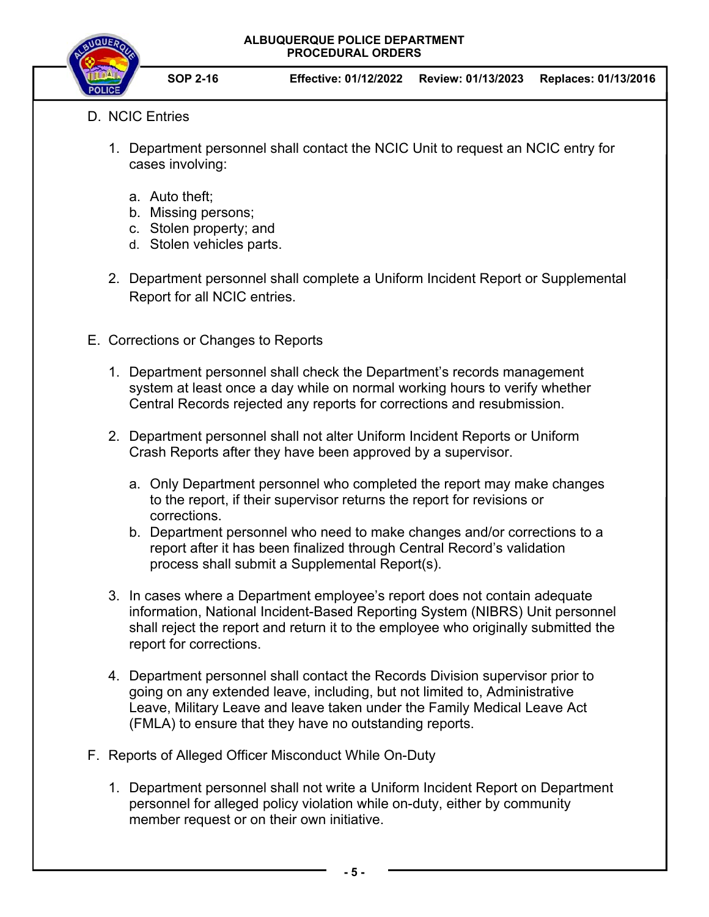**ALBUQUERQUE POLICE DEPARTMENT PROCEDURAL ORDERS** 



**SOP 2-16 Effective: 01/12/2022 Review: 01/13/2023 Replaces: 01/13/2016** 

- D. NCIC Entries
	- 1. Department personnel shall contact the NCIC Unit to request an NCIC entry for cases involving:
		- a. Auto theft;
		- b. Missing persons;
		- c. Stolen property; and
		- d. Stolen vehicles parts.
	- 2. Department personnel shall complete a Uniform Incident Report or Supplemental Report for all NCIC entries.
- E. Corrections or Changes to Reports
	- 1. Department personnel shall check the Department's records management system at least once a day while on normal working hours to verify whether Central Records rejected any reports for corrections and resubmission.
	- 2. Department personnel shall not alter Uniform Incident Reports or Uniform Crash Reports after they have been approved by a supervisor.
		- a. Only Department personnel who completed the report may make changes to the report, if their supervisor returns the report for revisions or corrections.
		- b. Department personnel who need to make changes and/or corrections to a report after it has been finalized through Central Record's validation process shall submit a Supplemental Report(s).
	- 3. In cases where a Department employee's report does not contain adequate information, National Incident-Based Reporting System (NIBRS) Unit personnel shall reject the report and return it to the employee who originally submitted the report for corrections.
	- 4. Department personnel shall contact the Records Division supervisor prior to going on any extended leave, including, but not limited to, Administrative Leave, Military Leave and leave taken under the Family Medical Leave Act (FMLA) to ensure that they have no outstanding reports.
- F. Reports of Alleged Officer Misconduct While On-Duty
	- 1. Department personnel shall not write a Uniform Incident Report on Department personnel for alleged policy violation while on-duty, either by community member request or on their own initiative.